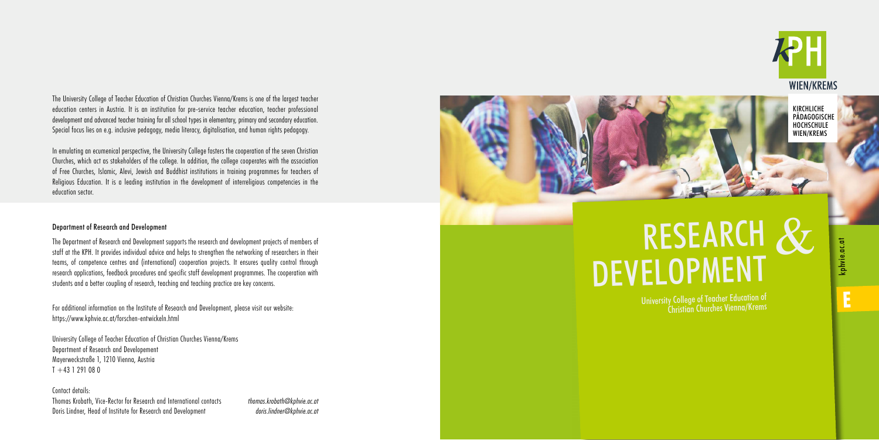The University College of Teacher Education of Christian Churches Vienna/Krems is one of the largest teacher education centers in Austria. It is an institution for pre-service teacher education, teacher professional development and advanced teacher training for all school types in elementary, primary and secondary education. Special focus lies on e.g. inclusive pedagogy, media literacy, digitalisation, and human rights pedagogy.

In emulating an ecumenical perspective, the University College fosters the cooperation of the seven Christian Churches, which act as stakeholders of the college. In addition, the college cooperates with the association of Free Churches, Islamic, Alevi, Jewish and Buddhist institutions in training programmes for teachers of Religious Education. It is a leading institution in the development of interreligious competencies in the education sector.

University College of Teacher Education of Christian Churches Vienna/Krems Department of Research and Developement Mayerweckstraße 1, 1210 Vienna, Austria  $T + 43$  1 291 08 0

Contact details: Thomas Krobath, Vice-Rector for Research and International contacts *thomas.krobath@kphvie.ac.at* Doris Lindner, Head of Institute for Research and Development *doris.lindner@kphvie.ac.at* 



## Department of Research and Development

# RESEARCH & DEVELOPMENT



kphvie.ac.at **E**kphvie.ac.at

Ë

The Department of Research and Development supports the research and development projects of members of staff at the KPH. It provides individual advice and helps to strengthen the networking of researchers in their teams, of competence centres and (international) cooperation projects. It ensures quality control through research applications, feedback procedures and specific staff development programmes. The cooperation with students and a better coupling of research, teaching and teaching practice are key concerns.

For additional information on the Institute of Research and Development, please visit our website: https://www.kphvie.ac.at/forschen-entwickeln.html

KIRCHLICHE PÄDAGOGISCHE HOCHSCHULE WIEN/KREMS

University College of Teacher Education of Christian Churches Vienna/Krems